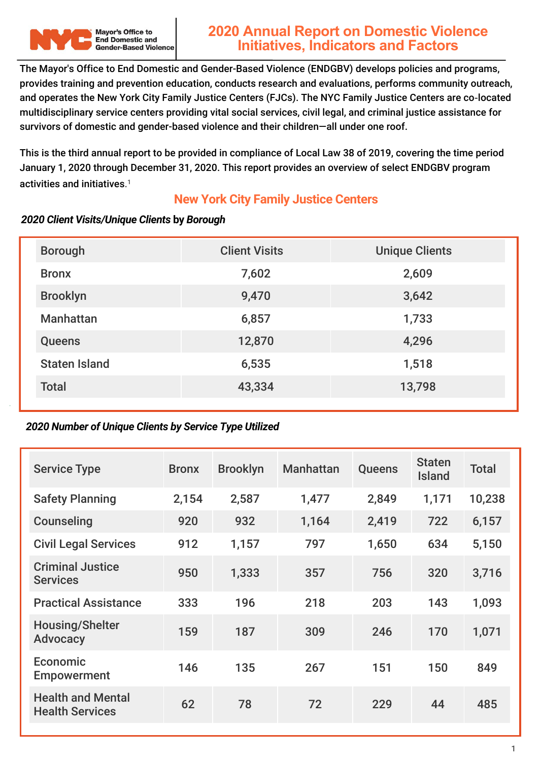

# **2020 Annual Report on Domestic Violence Initiatives, Indicators and Factors**

The Mayor's Office to End Domestic and Gender-Based Violence (ENDGBV) develops policies and programs, provides training and prevention education, conducts research and evaluations, performs community outreach, and operates the New York City Family Justice Centers (FJCs). The NYC Family Justice Centers are co‐located multidisciplinary service centers providing vital social services, civil legal, and criminal justice assistance for survivors of domestic and gender-based violence and their children—all under one roof.

This is the third annual report to be provided in compliance of Local Law 38 of 2019, covering the time period January 1, 2020 through December 31, 2020. This report provides an overview of select ENDGBV program activities and initiatives. 1

#### **New York City Family Justice Centers**

# Bronx 2,609 Brooklyn 9,470 3,642 Manhattan 6,857 1,733 Queens 12,870 4,296 Staten Island 6,535 1,518 Total 43,334 13,798 Borough Client Visits Unique Clients

#### *2020 Client Visits/Unique Clients* **by** *Borough*

#### *2020 Number of Unique Clients by Service Type Utilized*

| <b>Service Type</b>                                | <b>Bronx</b> | <b>Brooklyn</b> | <b>Manhattan</b> | <b>Queens</b> | <b>Staten</b><br><b>Island</b> | <b>Total</b> |
|----------------------------------------------------|--------------|-----------------|------------------|---------------|--------------------------------|--------------|
| <b>Safety Planning</b>                             | 2,154        | 2,587           | 1,477            | 2,849         | 1,171                          | 10,238       |
| <b>Counseling</b>                                  | 920          | 932             | 1,164            | 2,419         | 722                            | 6,157        |
| <b>Civil Legal Services</b>                        | 912          | 1,157           | 797              | 1,650         | 634                            | 5,150        |
| <b>Criminal Justice</b><br><b>Services</b>         | 950          | 1,333           | 357              | 756           | 320                            | 3,716        |
| <b>Practical Assistance</b>                        | 333          | 196             | 218              | 203           | 143                            | 1,093        |
| <b>Housing/Shelter</b><br><b>Advocacy</b>          | 159          | 187             | 309              | 246           | 170                            | 1,071        |
| <b>Economic</b><br><b>Empowerment</b>              | 146          | 135             | 267              | 151           | 150                            | 849          |
| <b>Health and Mental</b><br><b>Health Services</b> | 62           | 78              | 72               | 229           | 44                             | 485          |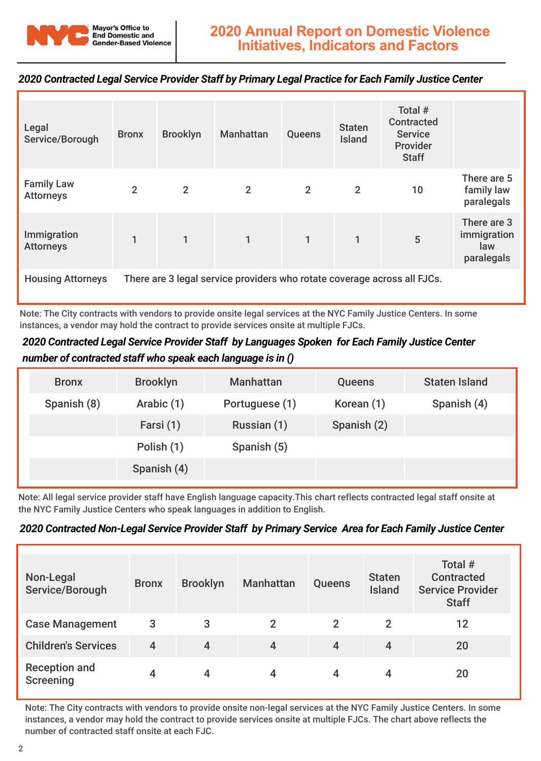

#### *2020 Contracted Legal Service Provider Staff by Primary Legal Practice for Each Family Justice Center*

| Legal<br>Service/Borough              | <b>Bronx</b>                                                             | <b>Brooklyn</b> | <b>Manhattan</b> | <b>Queens</b>  | <b>Staten</b><br><b>Island</b> | Total #<br><b>Contracted</b><br><b>Service</b><br>Provider<br><b>Staff</b> |                                                 |
|---------------------------------------|--------------------------------------------------------------------------|-----------------|------------------|----------------|--------------------------------|----------------------------------------------------------------------------|-------------------------------------------------|
| <b>Family Law</b><br><b>Attorneys</b> | $\overline{2}$                                                           | $\overline{2}$  | 2                | $\overline{2}$ | $\overline{2}$                 | 10                                                                         | There are 5<br>family law<br>paralegals         |
| Immigration<br><b>Attorneys</b>       | $\mathbf{1}$                                                             | $\mathbf{1}$    | $\mathbf{1}$     | $\mathbf{1}$   | $\mathbf{1}$                   | 5                                                                          | There are 3<br>immigration<br>law<br>paralegals |
| <b>Housing Attorneys</b>              | There are 3 legal service providers who rotate coverage across all FJCs. |                 |                  |                |                                |                                                                            |                                                 |

Note: The City contracts with vendors to provide onsite legal services at the NYC Family Justice Centers. In some instances, a vendor may hold the contract to provide services onsite at multiple FJCs.

#### *2020 Contracted Legal Service Provider Staff by Languages Spoken for Each Family Justice Center number of contracted staff who speak each language is in ()*

| <b>Bronx</b> | <b>Brooklyn</b> | <b>Manhattan</b> | <b>Queens</b> | <b>Staten Island</b> |
|--------------|-----------------|------------------|---------------|----------------------|
| Spanish (8)  | Arabic (1)      | Portuguese (1)   | Korean (1)    | Spanish (4)          |
|              | Farsi (1)       | Russian (1)      | Spanish (2)   |                      |
|              | Polish (1)      | Spanish (5)      |               |                      |
|              | Spanish (4)     |                  |               |                      |
|              |                 |                  |               |                      |

Note: All legal service provider staff have English language capacity.This chart reflects contracted legal staff onsite at the NYC Family Justice Centers who speak languages in addition to English.

#### *2020 Contracted Non-Legal Service Provider Staff by Primary Service Area for Each Family Justice Center*

| Non-Legal<br>Service/Borough             | <b>Bronx</b> | <b>Brooklyn</b> | <b>Manhattan</b> | <b>Queens</b> | <b>Staten</b><br><b>Island</b> | Total #<br><b>Contracted</b><br><b>Service Provider</b><br><b>Staff</b> |
|------------------------------------------|--------------|-----------------|------------------|---------------|--------------------------------|-------------------------------------------------------------------------|
| <b>Case Management</b>                   | 3            | 3               | $\overline{2}$   | $\mathcal P$  | $\overline{2}$                 | 12                                                                      |
| <b>Children's Services</b>               | 4            | $\overline{4}$  | $\overline{4}$   | 4             | 4                              | 20                                                                      |
| <b>Reception and</b><br><b>Screening</b> |              | 4               |                  |               | 4                              | 20                                                                      |

Note: The City contracts with vendors to provide onsite non-legal services at the NYC Family Justice Centers. In some instances, a vendor may hold the contract to provide services onsite at multiple FJCs. The chart above reflects the number of contracted staff onsite at each FJC.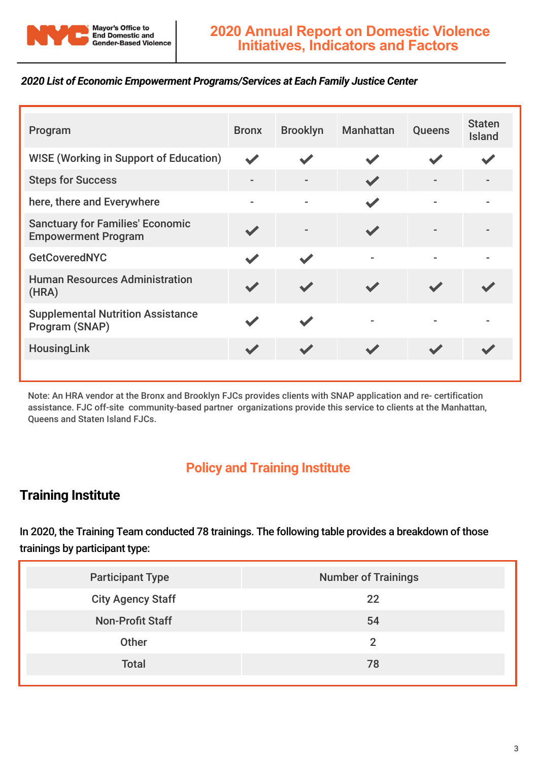

#### *2020 List of Economic Empowerment Programs/Services at Each Family Justice Center*

| Program                                                               | <b>Bronx</b>         | <b>Brooklyn</b> | <b>Manhattan</b> | Queens | <b>Staten</b><br><b>Island</b> |
|-----------------------------------------------------------------------|----------------------|-----------------|------------------|--------|--------------------------------|
| <b>WISE (Working in Support of Education)</b>                         | $\blacktriangledown$ |                 |                  |        |                                |
| <b>Steps for Success</b>                                              | $\overline{a}$       |                 |                  |        |                                |
| here, there and Everywhere                                            | $\blacksquare$       |                 |                  |        |                                |
| <b>Sanctuary for Families' Economic</b><br><b>Empowerment Program</b> |                      |                 |                  |        |                                |
| <b>GetCoveredNYC</b>                                                  |                      |                 |                  |        |                                |
| <b>Human Resources Administration</b><br>(HRA)                        |                      |                 |                  |        |                                |
| <b>Supplemental Nutrition Assistance</b><br>Program (SNAP)            |                      |                 |                  |        |                                |
| <b>HousingLink</b>                                                    |                      |                 |                  |        |                                |
|                                                                       |                      |                 |                  |        |                                |

Note: An HRA vendor at the Bronx and Brooklyn FJCs provides clients with SNAP application and re- certification assistance. FJC off-site community-based partner organizations provide this service to clients at the Manhattan, Queens and Staten Island FJCs.

# **Policy and Training Institute**

## **Training Institute**

In 2020, the Training Team conducted 78 trainings. The following table provides a breakdown of those trainings by participant type:

| <b>Participant Type</b>  | <b>Number of Trainings</b> |
|--------------------------|----------------------------|
| <b>City Agency Staff</b> | 22                         |
| <b>Non-Profit Staff</b>  | 54                         |
| Other                    |                            |
| <b>Total</b>             | 78                         |
|                          |                            |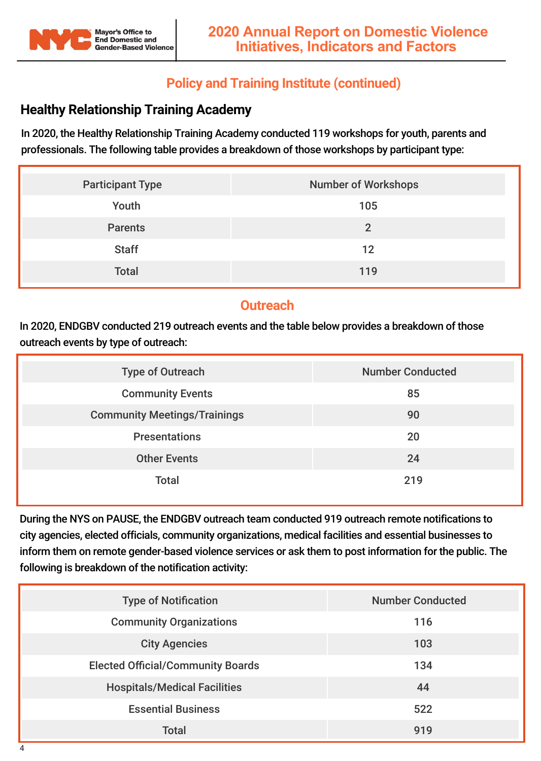

## **Policy and Training Institute (continued)**

# **Healthy Relationship Training Academy**

In 2020, the Healthy Relationship Training Academy conducted 119 workshops for youth, parents and professionals. The following table provides a breakdown of those workshops by participant type:

| <b>Participant Type</b> | <b>Number of Workshops</b> |
|-------------------------|----------------------------|
| Youth                   | 105                        |
| <b>Parents</b>          | $\overline{2}$             |
| <b>Staff</b>            | 12                         |
| <b>Total</b>            | 119                        |

## **Outreach**

In 2020, ENDGBV conducted 219 outreach events and the table below provides a breakdown of those outreach events by type of outreach:

| <b>Type of Outreach</b>             | <b>Number Conducted</b> |
|-------------------------------------|-------------------------|
| <b>Community Events</b>             | 85                      |
| <b>Community Meetings/Trainings</b> | 90                      |
| <b>Presentations</b>                | 20                      |
| <b>Other Events</b>                 | 24                      |
| <b>Total</b>                        | 219                     |

During the NYS on PAUSE, the ENDGBV outreach team conducted 919 outreach remote notifications to city agencies, elected officials, community organizations, medical facilities and essential businesses to inform them on remote gender-based violence services or ask them to post information for the public. The following is breakdown of the notification activity:

| <b>Type of Notification</b>              | <b>Number Conducted</b> |
|------------------------------------------|-------------------------|
| <b>Community Organizations</b>           | 116                     |
| <b>City Agencies</b>                     | 103                     |
| <b>Elected Official/Community Boards</b> | 134                     |
| <b>Hospitals/Medical Facilities</b>      | 44                      |
| <b>Essential Business</b>                | 522                     |
| <b>Total</b>                             | 919                     |